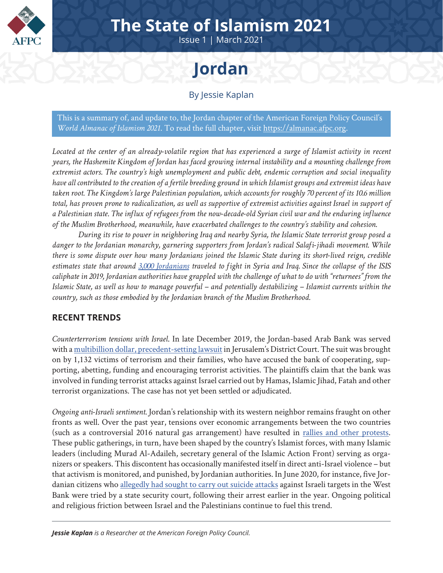

## **The State of Islamism 2021**

Issue 1 | March 2021

## **Jordan**

## By Jessie Kaplan

This is a summary of, and update to, the Jordan chapter of the American Foreign Policy Council's *World Almanac of Islamism 2021*. To read the full chapter, visit [https://almanac.afpc.org](https://almanac.afpc.org/almanac).

*Located at the center of an already-volatile region that has experienced a surge of Islamist activity in recent years, the Hashemite Kingdom of Jordan has faced growing internal instability and a mounting challenge from extremist actors. The country's high unemployment and public debt, endemic corruption and social inequality have all contributed to the creation of a fertile breeding ground in which Islamist groups and extremist ideas have taken root. The Kingdom's large Palestinian population, which accounts for roughly 70 percent of its 10.6 million total, has proven prone to radicalization, as well as supportive of extremist activities against Israel in support of a Palestinian state. The influx of refugees from the now-decade-old Syrian civil war and the enduring influence of the Muslim Brotherhood, meanwhile, have exacerbated challenges to the country's stability and cohesion.* 

*During its rise to power in neighboring Iraq and nearby Syria, the Islamic State terrorist group posed a danger to the Jordanian monarchy, garnering supporters from Jordan's radical Salafi-jihadi movement. While there is some dispute over how many Jordanians joined the Islamic State during its short-lived reign, credible estimates state that around [3,000 Jordanians](https://thesoufancenter.org/wp-content/uploads/2017/11/Beyond-the-Caliphate-Foreign-Fighters-and-the-Threat-of-Returnees-TSC-Report-October-2017-v3.pdf) traveled to fight in Syria and Iraq. Since the collapse of the ISIS caliphate in 2019, Jordanian authorities have grappled with the challenge of what to do with "returnees" from the Islamic State, as well as how to manage powerful – and potentially destabilizing – Islamist currents within the country, such as those embodied by the Jordanian branch of the Muslim Brotherhood.* 

## **RECENT TRENDS**

*Counterterrorism tensions with Israel*. In late December 2019, the Jordan-based Arab Bank was served with a [multibillion dollar, precedent-setting lawsuit](https://www.al-monitor.com/pulse/originals/2020/01/israel-jordan-arab-bank-terror-victims-jerusalem-court.html) in Jerusalem's District Court. The suit was brought on by 1,132 victims of terrorism and their families, who have accused the bank of cooperating, supporting, abetting, funding and encouraging terrorist activities. The plaintiffs claim that the bank was involved in funding terrorist attacks against Israel carried out by Hamas, Islamic Jihad, Fatah and other terrorist organizations. The case has not yet been settled or adjudicated.

*Ongoing anti-Israeli sentiment*. Jordan's relationship with its western neighbor remains fraught on other fronts as well. Over the past year, tensions over economic arrangements between the two countries (such as a controversial 2016 natural gas arrangement) have resulted in [rallies and other protests](https://www.middleeastmonitor.com/20200104-jordan-massive-rally-against-gas-agreement-with-israel/). These public gatherings, in turn, have been shaped by the country's Islamist forces, with many Islamic leaders (including Murad Al-Adaileh, secretary general of the Islamic Action Front) serving as organizers or speakers. This discontent has occasionally manifested itself in direct anti-Israel violence – but that activism is monitored, and punished, by Jordanian authorities. In June 2020, for instance, five Jordanian citizens who [allegedly had sought to carry out suicide attacks](https://www.middleeastmonitor.com/20200603-jordan-claims-to-have-foiled-terror-attack-on-israel/) against Israeli targets in the West Bank were tried by a state security court, following their arrest earlier in the year. Ongoing political and religious friction between Israel and the Palestinians continue to fuel this trend.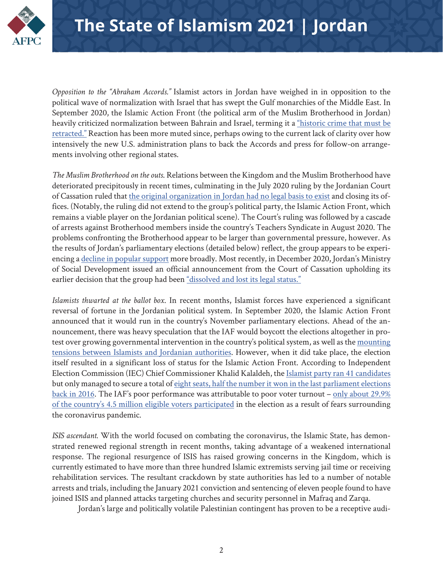

*Opposition to the "Abraham Accords."* Islamist actors in Jordan have weighed in in opposition to the political wave of normalization with Israel that has swept the Gulf monarchies of the Middle East. In September 2020, the Islamic Action Front (the political arm of the Muslim Brotherhood in Jordan) heavily criticized normalization between Bahrain and Israel, terming it a ["historic crime that must be](https://www.aa.com.tr/en/middle-east/arab-parties-groups-decry-bahrain-israel-pact/1971368) [retracted."](https://www.aa.com.tr/en/middle-east/arab-parties-groups-decry-bahrain-israel-pact/1971368) Reaction has been more muted since, perhaps owing to the current lack of clarity over how intensively the new U.S. administration plans to back the Accords and press for follow-on arrangements involving other regional states.

*The Muslim Brotherhood on the outs*. Relations between the Kingdom and the Muslim Brotherhood have deteriorated precipitously in recent times, culminating in the July 2020 ruling by the Jordanian Court of Cassation ruled that [the original organization in Jordan had no legal basis to exist](https://www.middleeasteye.net/news/jordan-muslim-brotherhood-dissolution-ruling-king-abdullah-arab-spring) and closing its offices. (Notably, the ruling did not extend to the group's political party, the Islamic Action Front, which remains a viable player on the Jordanian political scene). The Court's ruling was followed by a cascade of arrests against Brotherhood members inside the country's Teachers Syndicate in August 2020. The problems confronting the Brotherhood appear to be larger than governmental pressure, however. As the results of Jordan's parliamentary elections (detailed below) reflect, the group appears to be experiencing a [decline in popular support](https://thearabweekly.com/jordanian-vote-highlights-tribal-factor-political-parties-weaknesses) more broadly. Most recently, in December 2020, Jordan's Ministry of Social Development issued an official announcement from the Court of Cassation upholding its earlier decision that the group had been ["dissolved and lost its legal status."](https://ammannet.net/أخبار/جماعة-الإخوان-ترفض-بيانا-للجنة-حل-الجماعة-استهداف-رسمي)

*Islamists thwarted at the ballot box*. In recent months, Islamist forces have experienced a significant reversal of fortune in the Jordanian political system. In September 2020, the Islamic Action Front announced that it would run in the country's November parliamentary elections. Ahead of the announcement, there was heavy speculation that the IAF would boycott the elections altogether in protest over growing governmental intervention in the country's political system, as well as the mounting [tensions between Islamists and Jordanian authorities.](https://www.al-monitor.com/pulse/originals/2020/09/jordan-parliamentary-elections-muslim-brotherhood-boycott.html) However, when it did take place, the election itself resulted in a significant loss of status for the Islamic Action Front. According to Independent Election Commission (IEC) Chief Commissioner Khalid Kalaldeh, the [Islamist party ran 41 candidates](https://thearabweekly.com/jordanian-vote-highlights-tribal-factor-political-parties-weaknesses) but only managed to secure a total of [eight seats, half the number it won in the last parliament elections](https://www.france24.com/en/live-news/20201112-women-islamists-lose-seats-in-jordan-vote) [back in 2016.](https://www.france24.com/en/live-news/20201112-women-islamists-lose-seats-in-jordan-vote) The IAF's poor performance was attributable to poor voter turnout – [only about 29.9%](https://www.straitstimes.com/world/middle-east/women-islamists-lose-seats-in-jordan-vote) [of the country's 4.5 million eligible voters participated](https://www.straitstimes.com/world/middle-east/women-islamists-lose-seats-in-jordan-vote) in the election as a result of fears surrounding the coronavirus pandemic.

*ISIS ascendant*. With the world focused on combating the coronavirus, the Islamic State, has demonstrated renewed regional strength in recent months, taking advantage of a weakened international response. The regional resurgence of ISIS has raised growing concerns in the Kingdom, which is currently estimated to have more than three hundred Islamic extremists serving jail time or receiving rehabilitation services. The resultant crackdown by state authorities has led to a number of notable arrests and trials, including the January 2021 conviction and sentencing of eleven people found to have joined ISIS and planned attacks targeting churches and security personnel in Mafraq and Zarqa.

Jordan's large and politically volatile Palestinian contingent has proven to be a receptive audi-